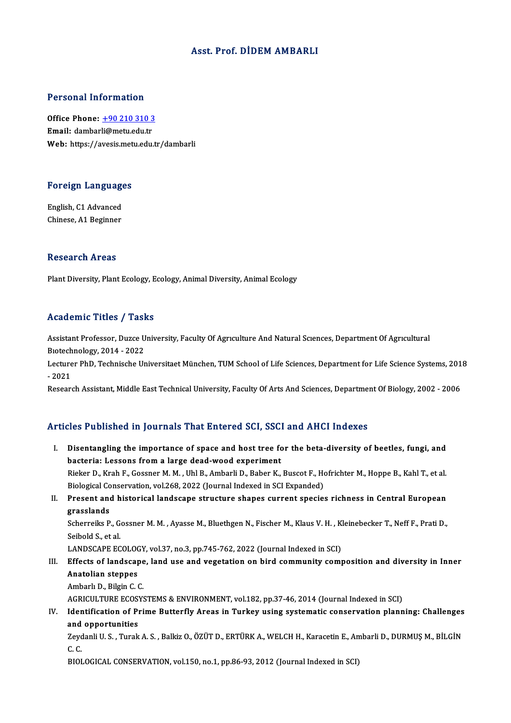## Asst. Prof. DİDEMAMBARLI

### Personal Information

Personal Information<br>Office Phone: <u>+90 210 310 3</u><br>Email: dambarli@matu.edu.tr 1 ST SUBSTRAT THEST INCLUDED<br>Office Phone: <u>+90 210 310 3</u><br>Email: dambar[li@metu.edu.tr](tel:+90 210 310 3) Email: dambarli@metu.edu.tr<br>Web: https://avesis.metu.edu.tr/dambarli

# Foreign Languages

Foreign Language<br>English, C1 Advanced<br>Chinese A1 Beginner English, C1 Advanced<br>Chinese, A1 Beginner

### Research Areas

Plant Diversity, Plant Ecology, Ecology, Animal Diversity, Animal Ecology

### Academic Titles / Tasks

Assistant Professor, Duzce University, Faculty Of Agrıculture And Natural Sciences, Department Of Agrıcultural Assistant Professor, Duzce U<br>Biotechnology, 2014 - 2022<br>Lecturer PhD, Technische Ur

Lecturer PhD, Technische Universitaet München, TUM School of Life Sciences, Department for Life Science Systems, 2018<br>- 2021 Biotech<br>Lecture<br>- 2021<br>Beseers

Research Assistant, Middle East Technical University, Faculty Of Arts And Sciences, Department Of Biology, 2002 - 2006

## Articles Published in Journals That Entered SCI, SSCI and AHCI Indexes

I. Disentangling the importance of space and host tree for the beta-diversity of beetles, fungi, and<br>I. Disentangling the importance of space and host tree for the beta-diversity of beetles, fungi, and<br>hasterial Lessons fr bacteria: Lessons from a large dead-wood experiment<br>Bisteria: Lessons from a large dead-wood experiment<br>Bisker D. Krab E. Cossnor M. M. Uhl P. Ambarli D. Babor K. Disentangling the importance of space and host tree for the beta-diversity of beetles, fungi, and<br>bacteria: Lessons from a large dead-wood experiment<br>Rieker D., Krah F., Gossner M. M. , Uhl B., Ambarli D., Baber K., Buscot bacteria: Lessons from a large dead-wood experiment<br>Rieker D., Krah F., Gossner M. M. , Uhl B., Ambarli D., Baber K., Buscot F., Ho<br>Biological Conservation, vol.268, 2022 (Journal Indexed in SCI Expanded)<br>Present and bisto Rieker D., Krah F., Gossner M. M. , Uhl B., Ambarli D., Baber K., Buscot F., Hofrichter M., Hoppe B., Kahl T., et al.<br>Biological Conservation, vol.268, 2022 (Journal Indexed in SCI Expanded)<br>II. Present and historical land Biological Conservation, vol.268, 2022 (Journal Indexed in SCI Expanded)<br>II. Present and historical landscape structure shapes current species richness in Central European<br>grasslands Present and historical landscape structure shapes current species richness in Central European<br>grasslands<br>Scherreiks P., Gossner M. M. , Ayasse M., Bluethgen N., Fischer M., Klaus V. H. , Kleinebecker T., Neff F., Prati D. Seibold S, et al. Scherreiks P., Gossner M. M. , Ayasse M., Bluethgen N., Fischer M., Klaus V. H. , K.<br>Seibold S., et al.<br>LANDSCAPE ECOLOGY, vol.37, no.3, pp.745-762, 2022 (Journal Indexed in SCI)<br>Effects of landscape, land use and vegetati III. Effects of landscape, land use and vegetation on bird community composition and diversity in Inner<br>Anatolian steppes LANDSCAPE ECOLOGY, vol.37, no.3, pp.745-762, 2022 (Journal Indexed in SCI) Ambarlı D., Bilgin C.C. Anatolian steppes<br>Ambarlı D., Bilgin C. C.<br>AGRICULTURE ECOSYSTEMS & ENVIRONMENT, vol.182, pp.37-46, 2014 (Journal Indexed in SCI)<br>Identification of Prime Putterfly Areas in Turkey using systematic senservation plann Ambarlı D., Bilgin C. C.<br>AGRICULTURE ECOSYSTEMS & ENVIRONMENT, vol.182, pp.37-46, 2014 (Journal Indexed in SCI)<br>IV. Identification of Prime Butterfly Areas in Turkey using systematic conservation planning: Challenges<br>and a AGRICULTURE ECOS<br>Identification of Pi<br>and opportunities<br>Zavdanli U.S. Turak Identification of Prime Butterfly Areas in Turkey using systematic conservation planning: Challenges<br>and opportunities<br>Zeydanli U. S. , Turak A. S. , Balkiz O., ÖZÜT D., ERTÜRK A., WELCH H., Karacetin E., Ambarli D., DURMU and opportunities<br>Zeydanli U. S. , Turak A. S. , Balkiz O., ÖZÜT D., ERTÜRK A., WELCH H., Karacetin E., Ambarli D., DURMUŞ M., BİLGİN<br>C. C. BIOLOGICAL CONSERVATION, vol.150, no.1, pp.86-93, 2012 (Journal Indexed in SCI)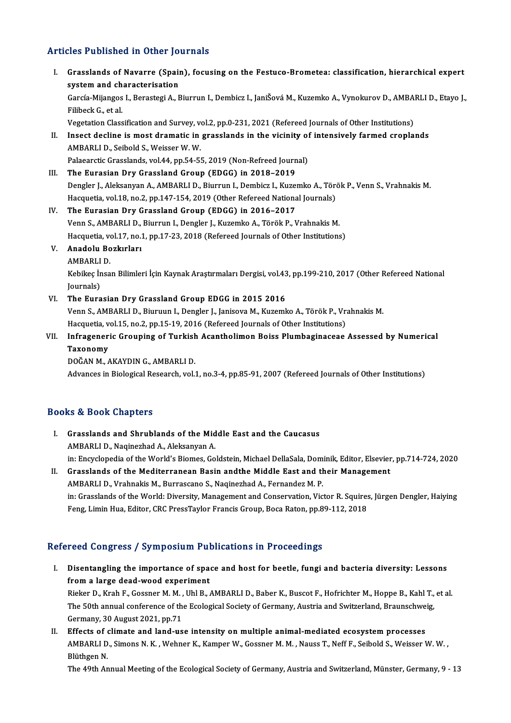# Articles Published in Other Journals

| <b>Articles Published in Other Journals</b> |                                                                                                                                             |
|---------------------------------------------|---------------------------------------------------------------------------------------------------------------------------------------------|
| L.                                          | Grasslands of Navarre (Spain), focusing on the Festuco-Brometea: classification, hierarchical expert<br>system and characterisation         |
|                                             | García-Mijangos I., Berastegi A., Biurrun I., Dembicz I., JaniŠová M., Kuzemko A., Vynokurov D., AMBARLI D., Etayo J.,<br>Filibeck G, et al |
|                                             | Vegetation Classification and Survey, vol.2, pp.0-231, 2021 (Refereed Journals of Other Institutions)                                       |
| П.                                          | Insect decline is most dramatic in grasslands in the vicinity of intensively farmed croplands<br>AMBARLI D., Seibold S., Weisser W. W.      |
|                                             | Palaearctic Grasslands, vol.44, pp.54-55, 2019 (Non-Refreed Journal)                                                                        |
| III.                                        | The Eurasian Dry Grassland Group (EDGG) in 2018-2019                                                                                        |
|                                             | Dengler J., Aleksanyan A., AMBARLI D., Biurrun I., Dembicz I., Kuzemko A., Török P., Venn S., Vrahnakis M.                                  |
|                                             | Hacquetia, vol.18, no.2, pp.147-154, 2019 (Other Refereed National Journals)                                                                |
| IV.                                         | The Eurasian Dry Grassland Group (EDGG) in 2016-2017                                                                                        |
|                                             | Venn S., AMBARLI D., Biurrun I., Dengler J., Kuzemko A., Török P., Vrahnakis M.                                                             |
|                                             | Hacquetia, vol.17, no.1, pp.17-23, 2018 (Refereed Journals of Other Institutions)                                                           |
| V.                                          | Anadolu Bozkırları                                                                                                                          |
|                                             | <b>AMBARLID.</b>                                                                                                                            |
|                                             | Kebikeç İnsan Bilimleri İçin Kaynak Araştırmaları Dergisi, vol.43, pp.199-210, 2017 (Other Refereed National<br>Journals)                   |
| VI.                                         | The Eurasian Dry Grassland Group EDGG in 2015 2016                                                                                          |
|                                             | Venn S., AMBARLI D., Biuruun I., Dengler J., Janisova M., Kuzemko A., Török P., Vrahnakis M.                                                |
|                                             | Hacquetia, vol.15, no.2, pp.15-19, 2016 (Refereed Journals of Other Institutions)                                                           |
| VII.                                        | Infrageneric Grouping of Turkish Acantholimon Boiss Plumbaginaceae Assessed by Numerical                                                    |
|                                             | Taxonomy                                                                                                                                    |
|                                             | DOĞAN M., AKAYDIN G., AMBARLI D.                                                                                                            |
|                                             | Advances in Biological Research, vol.1, no.3-4, pp.85-91, 2007 (Refereed Journals of Other Institutions)                                    |

## Books&Book Chapters

- I. Grasslands and Shrublands of the Middle East and the Caucasus AMBARLID.,NaqinezhadA.,AleksanyanA. Grasslands and Shrublands of the Middle East and the Caucasus<br>AMBARLI D., Naqinezhad A., Aleksanyan A.<br>in: Encyclopedia of the World's Biomes, Goldstein, Michael DellaSala, Dominik, Editor, Elsevier, pp.714-724, 2020<br>Cress AMBARLI D., Naqinezhad A., Aleksanyan A.<br>in: Encyclopedia of the World's Biomes, Goldstein, Michael DellaSala, Dominik, Editor, Elsevier<br>II. Grasslands of the Mediterranean Basin andthe Middle East and their Management<br>AMB
- in: Encyclopedia of the World's Biomes, Goldstein, Michael DellaSala, Dom<br>Grasslands of the Mediterranean Basin andthe Middle East and the<br>AMBARLI D., Vrahnakis M., Burrascano S., Naqinezhad A., Fernandez M. P.<br>in: Cressla Grasslands of the Mediterranean Basin andthe Middle East and their Management<br>AMBARLI D., Vrahnakis M., Burrascano S., Naqinezhad A., Fernandez M. P.<br>in: Grasslands of the World: Diversity, Management and Conservation, Vic AMBARLI D., Vrahnakis M., Burrascano S., Naqinezhad A., Fernandez M. P.<br>in: Grasslands of the World: Diversity, Management and Conservation, Victor R. Squires<br>Feng, Limin Hua, Editor, CRC PressTaylor Francis Group, Boca Ra Feng, Limin Hua, Editor, CRC PressTaylor Francis Group, Boca Raton, pp.89-112, 2018<br>Refereed Congress / Symposium Publications in Proceedings

- efereed Congress / Symposium Publications in Proceedings<br>I. Disentangling the importance of space and host for beetle, fungi and bacteria diversity: Lessons<br>from a large deed weed experiment From doing tells y by inpostant that<br>Disentangling the importance of space<br>from a large dead-wood experiment<br>Bisker D, Krab E, Cosener M, M, Ubl P, c from a large dead-wood experiment<br>Rieker D., Krah F., Gossner M. M. , Uhl B., AMBARLI D., Baber K., Buscot F., Hofrichter M., Hoppe B., Kahl T., et al. from a large dead-wood experiment<br>Rieker D., Krah F., Gossner M. M. , Uhl B., AMBARLI D., Baber K., Buscot F., Hofrichter M., Hoppe B., Kahl T.,<br>The 50th annual conference of the Ecological Society of Germany, Austria and Rieker D., Krah F., Gossner M. M. ,<br>The 50th annual conference of th<br>Germany, 30 August 2021, pp.71<br>Effects of elimate and land us The 50th annual conference of the Ecological Society of Germany, Austria and Switzerland, Braunschwe<br>Germany, 30 August 2021, pp.71<br>II. Effects of climate and land-use intensity on multiple animal-mediated ecosystem proces
- Germany, 30 August 2021, pp.71<br>Effects of climate and land-use intensity on multiple animal-mediated ecosystem processes<br>AMBARLI D., Simons N. K. , Wehner K., Kamper W., Gossner M. M. , Nauss T., Neff F., Seibold S., Weiss Effects of<br>AMBARLI D<br>Blüthgen N.<br>The 40th Ar AMBARLI D., Simons N. K. , Wehner K., Kamper W., Gossner M. M. , Nauss T., Neff F., Seibold S., Weisser W. W. ,<br>Blüthgen N.<br>The 49th Annual Meeting of the Ecological Society of Germany, Austria and Switzerland, Münster, Ge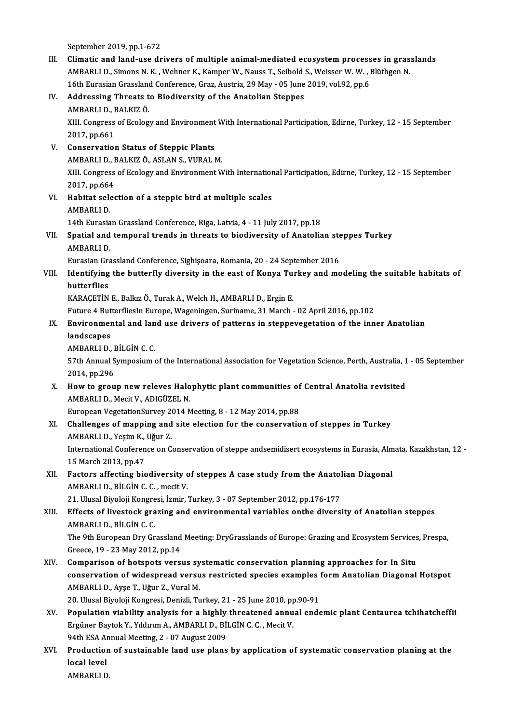September 2019, pp.1-672

III. Climatic and land-use drivers of multiple animal-mediated ecosystem processes in grasslands September 2019, pp.1-672<br>Climatic and land-use drivers of multiple animal-mediated ecosystem processes in gras<br>AMBARLI D., Simons N. K. , Wehner K., Kamper W., Nauss T., Seibold S., Weisser W. W. , Blüthgen N.<br>16th Eurosia Climatic and land-use drivers of multiple animal-mediated ecosystem process<br>AMBARLI D., Simons N. K. , Wehner K., Kamper W., Nauss T., Seibold S., Weisser W. W. , I<br>16th Eurasian Grassland Conference, Graz, Austria, 29 May 16th Eurasian Grassland Conference, Graz, Austria, 29 May - 05 June 2019, vol.92, pp.6

# IV. Addressing Threats to Biodiversity of the Anatolian Steppes Addressing Threats to Biodiversity of the Anatolian Steppes<br>AMBARLI D., BALKIZ Ö.<br>XIII. Congress of Ecology and Environment With International Participation, Edirne, Turkey, 12 - 15 September<br>2017 np.661 AMBARLI D., I<br>XIII. Congress<br>2017, pp.661<br>Conservatio

- V. Conservation Status of Steppic Plants 2017, pp.661<br>Conservation Status of Steppic Plants<br>AMBARLI D., BALKIZ Ö., ASLAN S., VURAL M.<br>YIIL Congress of Eselegy and Environment M XIII. Congress of Ecology and Environment With International Participation, Edirne, Turkey, 12 - 15 September<br>2017, pp.664 AMBARLI D., I<br>XIII. Congress<br>2017, pp.664<br>Habitat seles XIII. Congress of Ecology and Environment With Internation<br>2017, pp.664<br>VI. Habitat selection of a steppic bird at multiple scales<br>AMPAPLLD
- 2017, pp.664<br>Habitat sele<br>AMBARLI D.<br>14th Eurosis Habitat selection of a steppic bird at multiple scales<br>AMBARLI D.<br>14th Eurasian Grassland Conference, Riga, Latvia, 4 - 11 July 2017, pp.18<br>Spatial and temporal trands in threats to biodiversity of Anatolia

# AMBARLI D.<br>14th Eurasian Grassland Conference, Riga, Latvia, 4 - 11 July 2017, pp.18<br>VII. Spatial and temporal trends in threats to biodiversity of Anatolian steppes Turkey<br>AMBARLI D 14th Eurasia<br>Spatial and<br>AMBARLI D.<br>Eurasian Cra Spatial and temporal trends in threats to biodiversity of Anatolian ste<br>AMBARLI D.<br>Eurasian Grassland Conference, Sighişoara, Romania, 20 - 24 September 2016<br>Identifying the butterfly diversity in the east of Kenya Turkey

# AMBARLI D.<br>Eurasian Grassland Conference, Sighişoara, Romania, 20 - 24 September 2016<br>VIII. Identifying the butterfly diversity in the east of Konya Turkey and modeling the suitable habitats of Eurasian Grand<br>Identifying<br>butterflies<br>KARACETİN Identifying the butterfly diversity in the east of Konya Tu:<br>butterflies<br>KARAÇETİN E., Balkız Ö., Turak A., Welch H., AMBARLI D., Ergin E.<br>Euture 4 Butterfliesla Europe Wageningen Suriname 31 March

butterflies<br>KARAÇETİN E., Balkız Ö., Turak A., Welch H., AMBARLI D., Ergin E.<br>Future 4 ButterfliesIn Europe, Wageningen, Suriname, 31 March - 02 April 2016, pp.102

# KARAÇETİN E., Balkız Ö., Turak A., Welch H., AMBARLI D., Ergin E.<br>Future 4 ButterfliesIn Europe, Wageningen, Suriname, 31 March - 02 April 2016, pp.102<br>IX. Environmental and land use drivers of patterns in steppevegetation **Future 4 But<br>Environmer<br>landscapes<br>AMBABLLD** Environmental and lan<br>landscapes<br>AMBARLI D., BİLGİN C. C.<br>57th Annual Sumnosium

landscapes<br>AMBARLI D., BİLGİN C. C.<br>57th Annual Symposium of the International Association for Vegetation Science, Perth, Australia, 1 - 05 September AMBARLI D., I<br>57th Annual S<br>2014, pp.296<br>How to snow 57th Annual Symposium of the International Association for Vegetation Science, Perth, Australia, 1<br>2014, pp.296<br>X. How to group new releves Halophytic plant communities of Central Anatolia revisited<br>AMPARLID, Mosit V. ADIC

2014, pp.296<br>How to group new releves Halo<br>AMBARLI D., Mecit V., ADIGÜZEL N. How to group new releves Halophytic plant communities of<br>AMBARLI D., Mecit V., ADIGÜZEL N.<br>European VegetationSurvey 2014 Meeting, 8 - 12 May 2014, pp.88<br>Challanges of manning and site election for the conservatio

European VegetationSurvey 2014 Meeting, 8 - 12 May 2014, pp.88

XI. Challenges of mapping and site election for the conservation of steppes in Turkey AMBARLI D., Yeşim K., Uğur Z. Challenges of mapping and site election for the conservation of steppes in Turkey<br>AMBARLI D., Yeşim K., Uğur Z.<br>International Conference on Conservation of steppe andsemidisert ecosystems in Eurasia, Almata, Kazakhstan, 12

AMBARLI D., Yeşim K.,<br>International Conferen<br>15 March 2013, pp.47<br>Festers effesting bis International Conference on Conservation of steppe andsemidisert ecosystems in Eurasia, Alm<br>15 March 2013, pp.47<br>XII. Factors affecting biodiversity of steppes A case study from the Anatolian Diagonal<br>AMBABLI D BU Cin C C

15 March 2013, pp.47<br>Factors affecting biodiversity c<br>AMBARLI D., BİLGİN C. C. , mecit V.<br>21 Hlucal Biyalaji Kangresi İsmir ( Factors affecting biodiversity of steppes A case study from the Anatol<br>AMBARLI D., BİLGİN C. C. , mecit V.<br>21. Ulusal Biyoloji Kongresi, İzmir, Turkey, 3 - 07 September 2012, pp.176-177<br>Effects of livesteck grazing and env

# AMBARLI D., BILGIN C. C. , mecit V.<br>21. Ulusal Biyoloji Kongresi, İzmir, Turkey, 3 - 07 September 2012, pp.176-177<br>XIII. Effects of livestock grazing and environmental variables onthe diversity of Anatolian steppes<br>AMBARLI 21. Ulusal Biyoloji Kongre<br><mark>Effects of livestock gra</mark><br>AMBARLI D., BİLGİN C. C.<br>The <sup>Qth</sup> European Dry Cr Effects of livestock grazing and environmental variables onthe diversity of Anatolian steppes<br>AMBARLI D., BİLGİN C. C.<br>The 9th European Dry Grassland Meeting: DryGrasslands of Europe: Grazing and Ecosystem Services, Prespa

AMBARLI D., BİLGİN C. C.<br>The 9th European Dry Grassland Meeting: DryGrasslands of Europe: Grazing and Ecosystem Services, Prespa,<br>Greece, 19 - 23 May 2012, pp.14

- XIV. Comparison of hotspots versus systematic conservation planning approaches for In Situ Greece, 19 - 23 May 2012, pp.14<br>Comparison of hotspots versus systematic conservation planning approaches for In Situ<br>conservation of widespread versus restricted species examples form Anatolian Diagonal Hotspot<br>AMPAPLLD, Comparison of hotspots versus sy<br>conservation of widespread versu<br>AMBARLI D., Ayşe T., Uğur Z., Vural M.<br>20 Ulucal Bivoloji Kongresi, Danirli Tu conservation of widespread versus restricted species examples<br>AMBARLI D., Ayşe T., Uğur Z., Vural M.<br>20. Ulusal Biyoloji Kongresi, Denizli, Turkey, 21 - 25 June 2010, pp.90-91<br>Benulation vishility analysis for a bishly thr AMBARLI D., Ayşe T., Uğur Z., Vural M.<br>20. Ulusal Biyoloji Kongresi, Denizli, Turkey, 21 - 25 June 2010, pp.90-91<br>XV. Population viability analysis for a highly threatened annual endemic plant Centaurea tchihatcheffii
- 20. Ulusal Biyoloji Kongresi, Denizli, Turkey, 21 25 June 2010, pp<br>Population viability analysis for a highly threatened annu<br>Ergüner Baytok Y., Yıldırım A., AMBARLI D., BİLGİN C. C. , Mecit V.<br>94th ESA Annual Meeting 2, Population viability analysis for a highly<br>Ergüner Baytok Y., Yıldırım A., AMBARLI D., Bİ<br>94th ESA Annual Meeting, 2 - 07 August 2009<br>Production of sustainable land use plane Ergüner Baytok Y., Yıldırım A., AMBARLI D., BİLGİN C. C. , Mecit V.<br>94th ESA Annual Meeting, 2 - 07 August 2009<br>XVI. Production of sustainable land use plans by application of systematic conservation planing at the<br>loc
- 94th ESA Annual Meeting, 2 07 August 2009<br>Production of sustainable land use plans<br>local level<br>AMBARLI D. Production<br>local level<br>AMBARLI D.